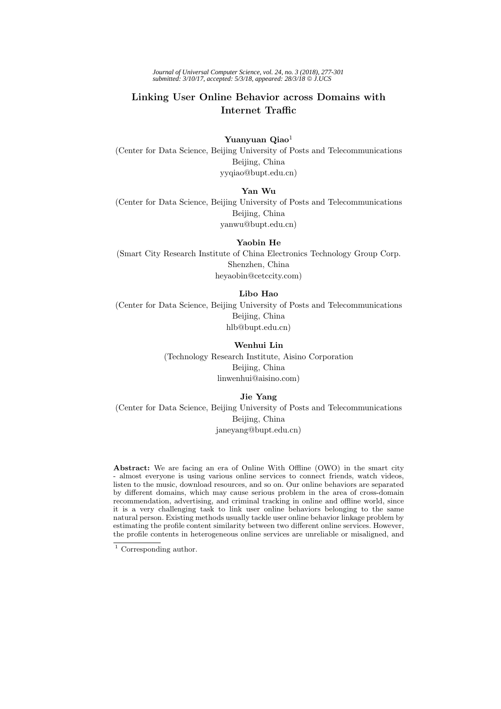*Journal of Universal Computer Science, vol. 24, no. 3 (2018), 277-301 submitted: 3/10/17, accepted: 5/3/18, appeared: 28/3/18* © *J.UCS*

# **Linking User Online Behavior across Domains with**

**Yuanyuan Qiao**<sup>1</sup> (Center for Data Science, Beijing University of Posts and Telecommunications Beijing, China yyqiao@bupt.edu.cn)

## **Yan Wu**

(Center for Data Science, Beijing University of Posts and Telecommunications Beijing, China yanwu@bupt.edu.cn)

**Yaobin He**

(Smart City Research Institute of China Electronics Technology Group Corp. Shenzhen, China heyaobin@cetccity.com)

# **Libo Hao**

(Center for Data Science, Beijing University of Posts and Telecommunications Beijing, China hlb@bupt.edu.cn)

## **Wenhui Lin**

(Technology Research Institute, Aisino Corporation Beijing, China linwenhui@aisino.com)

# **Jie Yang**

(Center for Data Science, Beijing University of Posts and Telecommunications Beijing, China janeyang@bupt.edu.cn)

**Abstract:** We are facing an era of Online With Offline (OWO) in the smart city - almost everyone is using various online services to connect friends, watch videos, listen to the music, download resources, and so on. Our online behaviors are separated by different domains, which may cause serious problem in the area of cross-domain recommendation, advertising, and criminal tracking in online and offline world, since it is a very challenging task to link user online behaviors belonging to the same natural person. Existing methods usually tackle user online behavior linkage problem by estimating the profile content similarity between two different online services. However, the profile contents in heterogeneous online services are unreliable or misaligned, and

 $\overline{1}$  Corresponding author.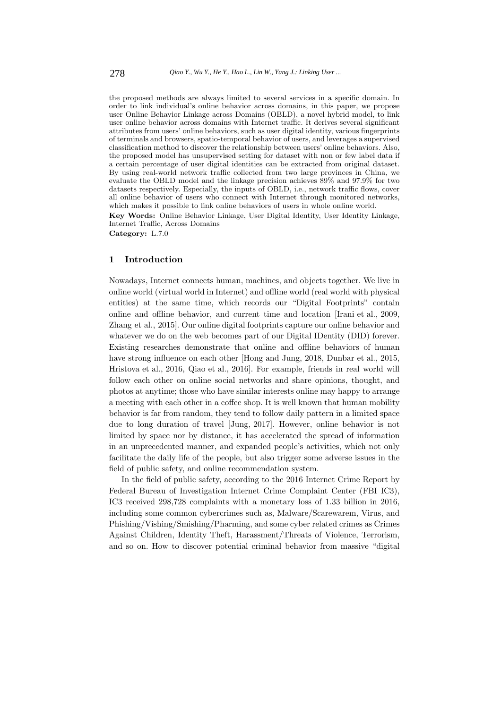the proposed methods are always limited to several services in a specific domain. In order to link individual's online behavior across domains, in this paper, we propose user Online Behavior Linkage across Domains (OBLD), a novel hybrid model, to link user online behavior across domains with Internet traffic. It derives several significant attributes from users' online behaviors, such as user digital identity, various fingerprints of terminals and browsers, spatio-temporal behavior of users, and leverages a supervised classification method to discover the relationship between users' online behaviors. Also, the proposed model has unsupervised setting for dataset with non or few label data if a certain percentage of user digital identities can be extracted from original dataset. By using real-world network traffic collected from two large provinces in China, we evaluate the OBLD model and the linkage precision achieves 89% and 97.9% for two datasets respectively. Especially, the inputs of OBLD, i.e., network traffic flows, cover all online behavior of users who connect with Internet through monitored networks, which makes it possible to link online behaviors of users in whole online world.

**Key Words:** Online Behavior Linkage, User Digital Identity, User Identity Linkage, Internet Traffic, Across Domains

**Category:** L.7.0

#### **1 Introduction**

Nowadays, Internet connects human, machines, and objects together. We live in online world (virtual world in Internet) and offline world (real world with physical entities) at the same time, which records our "Digital Footprints" contain online and offline behavior, and current time and location [Irani et al., 2009, Zhang et al., 2015]. Our online digital footprints capture our online behavior and whatever we do on the web becomes part of our Digital IDentity (DID) forever. Existing researches demonstrate that online and offline behaviors of human have strong influence on each other [Hong and Jung, 2018, Dunbar et al., 2015, Hristova et al., 2016, Qiao et al., 2016]. For example, friends in real world will follow each other on online social networks and share opinions, thought, and photos at anytime; those who have similar interests online may happy to arrange a meeting with each other in a coffee shop. It is well known that human mobility behavior is far from random, they tend to follow daily pattern in a limited space due to long duration of travel [Jung, 2017]. However, online behavior is not limited by space nor by distance, it has accelerated the spread of information in an unprecedented manner, and expanded people's activities, which not only facilitate the daily life of the people, but also trigger some adverse issues in the field of public safety, and online recommendation system.

In the field of public safety, according to the 2016 Internet Crime Report by Federal Bureau of Investigation Internet Crime Complaint Center (FBI IC3), IC3 received 298,728 complaints with a monetary loss of 1.33 billion in 2016, including some common cybercrimes such as, Malware/Scarewarem, Virus, and Phishing/Vishing/Smishing/Pharming, and some cyber related crimes as Crimes Against Children, Identity Theft, Harassment/Threats of Violence, Terrorism, and so on. How to discover potential criminal behavior from massive "digital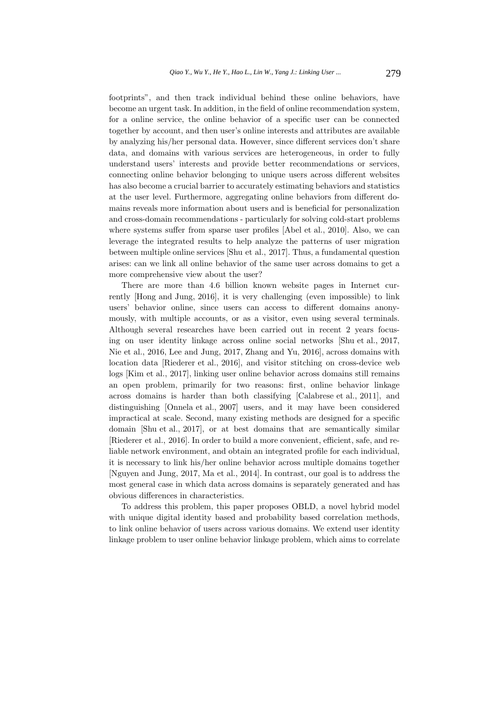footprints", and then track individual behind these online behaviors, have become an urgent task. In addition, in the field of online recommendation system, for a online service, the online behavior of a specific user can be connected together by account, and then user's online interests and attributes are available by analyzing his/her personal data. However, since different services don't share data, and domains with various services are heterogeneous, in order to fully understand users' interests and provide better recommendations or services, connecting online behavior belonging to unique users across different websites has also become a crucial barrier to accurately estimating behaviors and statistics at the user level. Furthermore, aggregating online behaviors from different domains reveals more information about users and is beneficial for personalization and cross-domain recommendations - particularly for solving cold-start problems where systems suffer from sparse user profiles [Abel et al., 2010]. Also, we can leverage the integrated results to help analyze the patterns of user migration between multiple online services [Shu et al., 2017]. Thus, a fundamental question arises: can we link all online behavior of the same user across domains to get a more comprehensive view about the user?

There are more than 4.6 billion known website pages in Internet currently [Hong and Jung, 2016], it is very challenging (even impossible) to link users' behavior online, since users can access to different domains anonymously, with multiple accounts, or as a visitor, even using several terminals. Although several researches have been carried out in recent 2 years focusing on user identity linkage across online social networks [Shu et al., 2017, Nie et al., 2016, Lee and Jung, 2017, Zhang and Yu, 2016], across domains with location data [Riederer et al., 2016], and visitor stitching on cross-device web logs [Kim et al., 2017], linking user online behavior across domains still remains an open problem, primarily for two reasons: first, online behavior linkage across domains is harder than both classifying [Calabrese et al., 2011], and distinguishing [Onnela et al., 2007] users, and it may have been considered impractical at scale. Second, many existing methods are designed for a specific domain [Shu et al., 2017], or at best domains that are semantically similar [Riederer et al., 2016]. In order to build a more convenient, efficient, safe, and reliable network environment, and obtain an integrated profile for each individual, it is necessary to link his/her online behavior across multiple domains together [Nguyen and Jung, 2017, Ma et al., 2014]. In contrast, our goal is to address the most general case in which data across domains is separately generated and has obvious differences in characteristics.

To address this problem, this paper proposes OBLD, a novel hybrid model with unique digital identity based and probability based correlation methods, to link online behavior of users across various domains. We extend user identity linkage problem to user online behavior linkage problem, which aims to correlate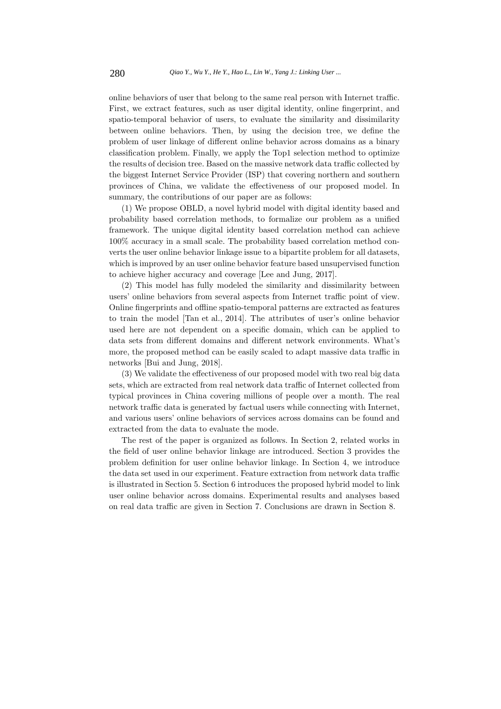online behaviors of user that belong to the same real person with Internet traffic. First, we extract features, such as user digital identity, online fingerprint, and spatio-temporal behavior of users, to evaluate the similarity and dissimilarity between online behaviors. Then, by using the decision tree, we define the problem of user linkage of different online behavior across domains as a binary classification problem. Finally, we apply the Top1 selection method to optimize the results of decision tree. Based on the massive network data traffic collected by the biggest Internet Service Provider (ISP) that covering northern and southern provinces of China, we validate the effectiveness of our proposed model. In summary, the contributions of our paper are as follows:

(1) We propose OBLD, a novel hybrid model with digital identity based and probability based correlation methods, to formalize our problem as a unified framework. The unique digital identity based correlation method can achieve 100% accuracy in a small scale. The probability based correlation method converts the user online behavior linkage issue to a bipartite problem for all datasets, which is improved by an user online behavior feature based unsupervised function to achieve higher accuracy and coverage [Lee and Jung, 2017].

(2) This model has fully modeled the similarity and dissimilarity between users' online behaviors from several aspects from Internet traffic point of view. Online fingerprints and offline spatio-temporal patterns are extracted as features to train the model [Tan et al., 2014]. The attributes of user's online behavior used here are not dependent on a specific domain, which can be applied to data sets from different domains and different network environments. What's more, the proposed method can be easily scaled to adapt massive data traffic in networks [Bui and Jung, 2018].

(3) We validate the effectiveness of our proposed model with two real big data sets, which are extracted from real network data traffic of Internet collected from typical provinces in China covering millions of people over a month. The real network traffic data is generated by factual users while connecting with Internet, and various users' online behaviors of services across domains can be found and extracted from the data to evaluate the mode.

The rest of the paper is organized as follows. In Section 2, related works in the field of user online behavior linkage are introduced. Section 3 provides the problem definition for user online behavior linkage. In Section 4, we introduce the data set used in our experiment. Feature extraction from network data traffic is illustrated in Section 5. Section 6 introduces the proposed hybrid model to link user online behavior across domains. Experimental results and analyses based on real data traffic are given in Section 7. Conclusions are drawn in Section 8.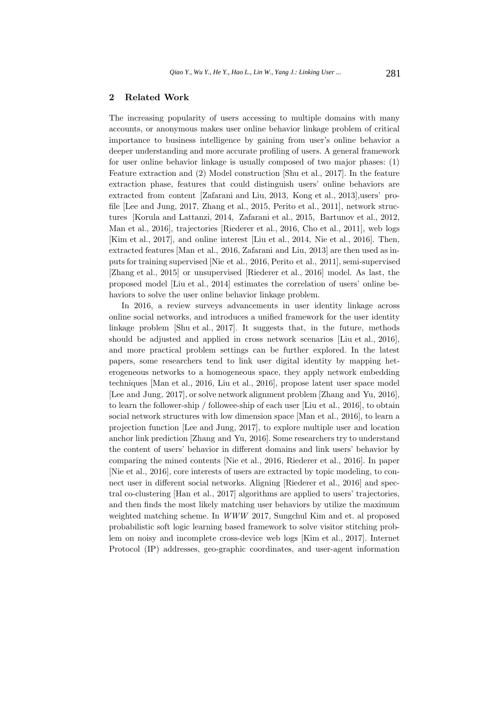# **2 Related Work**

The increasing popularity of users accessing to multiple domains with many accounts, or anonymous makes user online behavior linkage problem of critical importance to business intelligence by gaining from user's online behavior a deeper understanding and more accurate profiling of users. A general framework for user online behavior linkage is usually composed of two major phases: (1) Feature extraction and (2) Model construction [Shu et al., 2017]. In the feature extraction phase, features that could distinguish users' online behaviors are extracted from content [Zafarani and Liu, 2013, Kong et al., 2013],users' profile [Lee and Jung, 2017, Zhang et al., 2015, Perito et al., 2011], network structures [Korula and Lattanzi, 2014, Zafarani et al., 2015, Bartunov et al., 2012, Man et al., 2016], trajectories [Riederer et al., 2016, Cho et al., 2011], web logs [Kim et al., 2017], and online interest [Liu et al., 2014, Nie et al., 2016]. Then, extracted features [Man et al., 2016, Zafarani and Liu, 2013] are then used as inputs for training supervised [Nie et al., 2016, Perito et al., 2011], semi-supervised [Zhang et al., 2015] or unsupervised [Riederer et al., 2016] model. As last, the proposed model [Liu et al., 2014] estimates the correlation of users' online behaviors to solve the user online behavior linkage problem.

In 2016, a review surveys advancements in user identity linkage across online social networks, and introduces a unified framework for the user identity linkage problem [Shu et al., 2017]. It suggests that, in the future, methods should be adjusted and applied in cross network scenarios [Liu et al., 2016], and more practical problem settings can be further explored. In the latest papers, some researchers tend to link user digital identity by mapping heterogeneous networks to a homogeneous space, they apply network embedding techniques [Man et al., 2016, Liu et al., 2016], propose latent user space model [Lee and Jung, 2017], or solve network alignment problem [Zhang and Yu, 2016], to learn the follower-ship / followee-ship of each user [Liu et al., 2016], to obtain social network structures with low dimension space [Man et al., 2016], to learn a projection function [Lee and Jung, 2017], to explore multiple user and location anchor link prediction [Zhang and Yu, 2016]. Some researchers try to understand the content of users' behavior in different domains and link users' behavior by comparing the mined contents [Nie et al., 2016, Riederer et al., 2016]. In paper [Nie et al., 2016], core interests of users are extracted by topic modeling, to connect user in different social networks. Aligning [Riederer et al., 2016] and spectral co-clustering [Han et al., 2017] algorithms are applied to users' trajectories, and then finds the most likely matching user behaviors by utilize the maximum weighted matching scheme. In WWW 2017, Sungchul Kim and et. al proposed probabilistic soft logic learning based framework to solve visitor stitching problem on noisy and incomplete cross-device web logs [Kim et al., 2017]. Internet Protocol (IP) addresses, geo-graphic coordinates, and user-agent information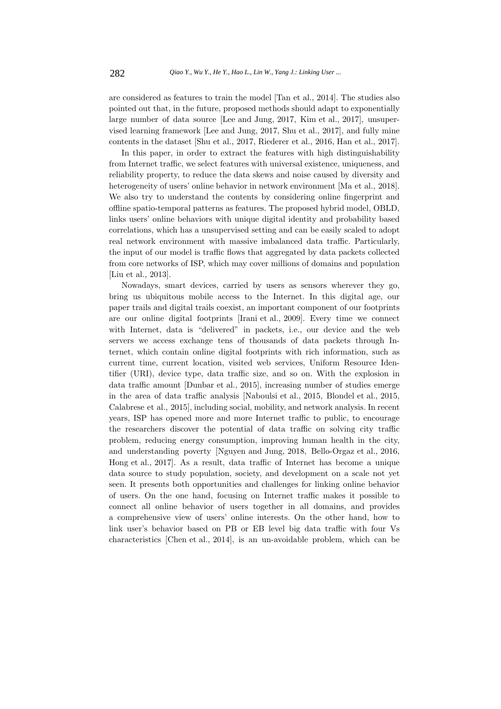are considered as features to train the model [Tan et al., 2014]. The studies also pointed out that, in the future, proposed methods should adapt to exponentially large number of data source [Lee and Jung, 2017, Kim et al., 2017], unsupervised learning framework [Lee and Jung, 2017, Shu et al., 2017], and fully mine contents in the dataset [Shu et al., 2017, Riederer et al., 2016, Han et al., 2017].

In this paper, in order to extract the features with high distinguishability from Internet traffic, we select features with universal existence, uniqueness, and reliability property, to reduce the data skews and noise caused by diversity and heterogeneity of users' online behavior in network environment [Ma et al., 2018]. We also try to understand the contents by considering online fingerprint and offline spatio-temporal patterns as features. The proposed hybrid model, OBLD, links users' online behaviors with unique digital identity and probability based correlations, which has a unsupervised setting and can be easily scaled to adopt real network environment with massive imbalanced data traffic. Particularly, the input of our model is traffic flows that aggregated by data packets collected from core networks of ISP, which may cover millions of domains and population [Liu et al., 2013].

Nowadays, smart devices, carried by users as sensors wherever they go, bring us ubiquitous mobile access to the Internet. In this digital age, our paper trails and digital trails coexist, an important component of our footprints are our online digital footprints [Irani et al., 2009]. Every time we connect with Internet, data is "delivered" in packets, i.e., our device and the web servers we access exchange tens of thousands of data packets through Internet, which contain online digital footprints with rich information, such as current time, current location, visited web services, Uniform Resource Identifier (URI), device type, data traffic size, and so on. With the explosion in data traffic amount [Dunbar et al., 2015], increasing number of studies emerge in the area of data traffic analysis [Naboulsi et al., 2015, Blondel et al., 2015, Calabrese et al., 2015], including social, mobility, and network analysis. In recent years, ISP has opened more and more Internet traffic to public, to encourage the researchers discover the potential of data traffic on solving city traffic problem, reducing energy consumption, improving human health in the city, and understanding poverty [Nguyen and Jung, 2018, Bello-Orgaz et al., 2016, Hong et al., 2017]. As a result, data traffic of Internet has become a unique data source to study population, society, and development on a scale not yet seen. It presents both opportunities and challenges for linking online behavior of users. On the one hand, focusing on Internet traffic makes it possible to connect all online behavior of users together in all domains, and provides a comprehensive view of users' online interests. On the other hand, how to link user's behavior based on PB or EB level big data traffic with four Vs characteristics [Chen et al., 2014], is an un-avoidable problem, which can be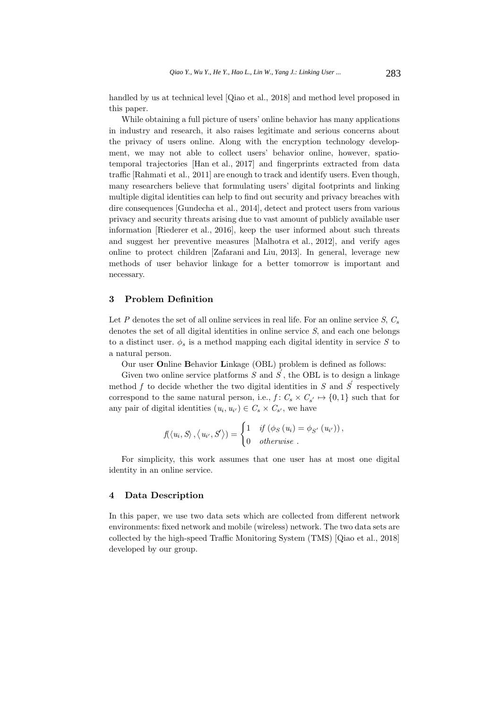handled by us at technical level [Qiao et al., 2018] and method level proposed in this paper.

While obtaining a full picture of users' online behavior has many applications in industry and research, it also raises legitimate and serious concerns about the privacy of users online. Along with the encryption technology development, we may not able to collect users' behavior online, however, spatiotemporal trajectories [Han et al., 2017] and fingerprints extracted from data traffic [Rahmati et al., 2011] are enough to track and identify users. Even though, many researchers believe that formulating users' digital footprints and linking multiple digital identities can help to find out security and privacy breaches with dire consequences [Gundecha et al., 2014], detect and protect users from various privacy and security threats arising due to vast amount of publicly available user information [Riederer et al., 2016], keep the user informed about such threats and suggest her preventive measures [Malhotra et al., 2012], and verify ages online to protect children [Zafarani and Liu, 2013]. In general, leverage new methods of user behavior linkage for a better tomorrow is important and necessary.

# **3 Problem Definition**

Let P denotes the set of all online services in real life. For an online service S,  $C_s$ denotes the set of all digital identities in online service S, and each one belongs to a distinct user.  $\phi_s$  is a method mapping each digital identity in service S to a natural person.

Our user **O**nline **B**ehavior **L**inkage (OBL) problem is defined as follows:

Given two online service platforms  $\overrightarrow{S}$  and  $\overrightarrow{S}$ , the OBL is to design a linkage method f to decide whether the two digital identities in S and  $S$  respectively correspond to the same natural person, i.e.,  $f: C_s \times C_{s'} \mapsto \{0,1\}$  such that for any pair of digital identities  $(u_i, u_{i'}) \in C_s \times C_{s'}$ , we have

$$
f(\langle u_i, S \rangle, \langle u_{i'}, S \rangle) = \begin{cases} 1 & \text{if } (\phi_S(u_i) = \phi_{S'}(u_{i'})), \\ 0 & \text{otherwise}. \end{cases}
$$

For simplicity, this work assumes that one user has at most one digital identity in an online service.

#### **4 Data Description**

In this paper, we use two data sets which are collected from different network environments: fixed network and mobile (wireless) network. The two data sets are collected by the high-speed Traffic Monitoring System (TMS) [Qiao et al., 2018] developed by our group.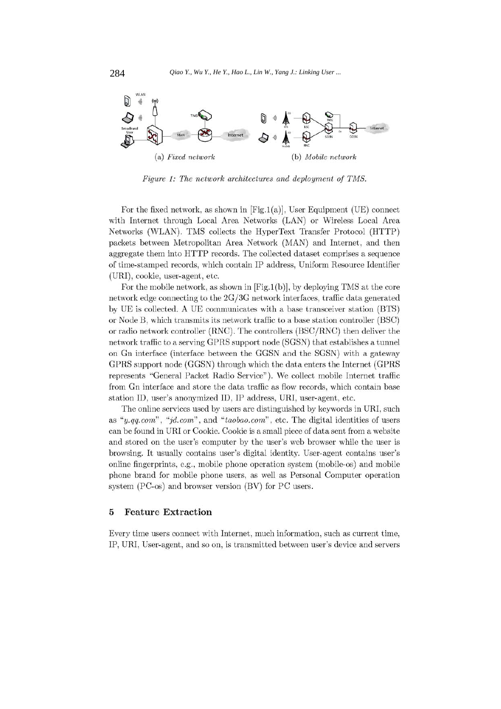

Figure 1: The network architectures and deployment of TMS.

For the fixed network, as shown in  $[Fig.1(a)],$  User Equipment (UE) connect with Internet through Local Area Networks (LAN) or Wireless Local Area Networks (WLAN). TMS collects the HyperText Transfer Protocol (HTTP) packets between Metropolitan Area Network (MAN) and Internet, and then aggregate them into HTTP records. The collected dataset comprises a sequence of time-stamped records, which contain IP address, Uniform Resource Identifier (URI), cookie, user-agent, etc.

For the mobile network, as shown in  $[Fig.1(b)],$  by deploying TMS at the core network edge connecting to the  $2G/3G$  network interfaces, traffic data generated by UE is collected. A UE communicates with a base transceiver station (BTS) or Node B, which transmits its network traffic to a base station controller (BSC) or radio network controller (RNC). The controllers (BSC/RNC) then deliver the network traffic to a serving GPRS support node (SGSN) that establishes a tunnel on Gn interface (interface between the GGSN and the SGSN) with a gateway GPRS support node (GGSN) through which the data enters the Internet (GPRS represents "General Packet Radio Service"). We collect mobile Internet traffic from Gn interface and store the data traffic as flow records, which contain base station ID, user's anonymized ID, IP address, URI, user-agent, etc.

The online services used by users are distinguished by keywords in URI, such as "y.qq.com", "jd.com", and "taobao.com", etc. The digital identities of users can be found in URI or Cookie. Cookie is a small piece of data sent from a website and stored on the user's computer by the user's web browser while the user is browsing. It usually contains user's digital identity. User-agent contains user's online fingerprints, e.g., mobile phone operation system (mobile-os) and mobile phone brand for mobile phone users, as well as Personal Computer operation system (PC-os) and browser version (BV) for PC users.

#### **Feature Extraction** 5

Every time users connect with Internet, much information, such as current time, IP, URI, User-agent, and so on, is transmitted between user's device and servers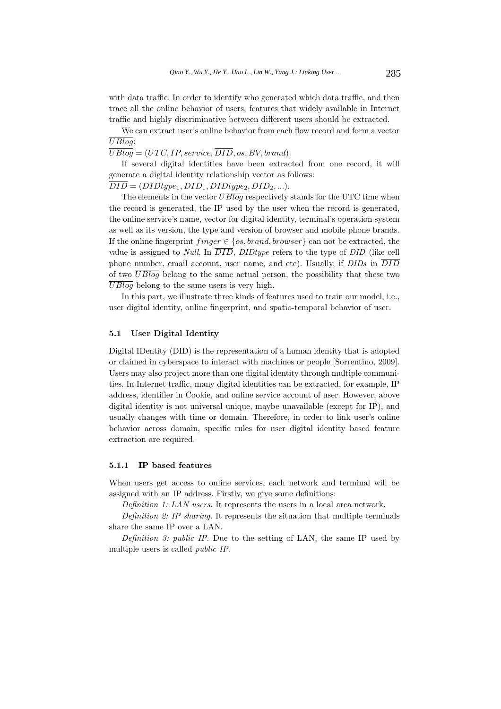with data traffic. In order to identify who generated which data traffic, and then trace all the online behavior of users, features that widely available in Internet traffic and highly discriminative between different users should be extracted.

We can extract user's online behavior from each flow record and form a vector UBlog:

 $\overline{UBloq} = (UTC, IP, service, \overline{DID}, os, BV, brand).$ 

If several digital identities have been extracted from one record, it will generate a digital identity relationship vector as follows:

 $\overline{DID} = (DIDtype_1, DID_1, DIDtype_2, DID_2, ...).$ 

The elements in the vector  $\overline{UBlog}$  respectively stands for the UTC time when the record is generated, the IP used by the user when the record is generated, the online service's name, vector for digital identity, terminal's operation system as well as its version, the type and version of browser and mobile phone brands. If the online fingerprint  $finger \in \{os, brand, browser\}$  can not be extracted, the value is assigned to *Null.* In  $\overline{DID}$ , *DIDtype* refers to the type of *DID* (like cell phone number, email account, user name, and etc). Usually, if  $DIDs$  in  $\overline{DID}$ of two  $\overline{UBlog}$  belong to the same actual person, the possibility that these two  $\overline{UBlog}$  belong to the same users is very high.

In this part, we illustrate three kinds of features used to train our model, i.e., user digital identity, online fingerprint, and spatio-temporal behavior of user.

#### **5.1 User Digital Identity**

Digital IDentity (DID) is the representation of a human identity that is adopted or claimed in cyberspace to interact with machines or people [Sorrentino, 2009]. Users may also project more than one digital identity through multiple communities. In Internet traffic, many digital identities can be extracted, for example, IP address, identifier in Cookie, and online service account of user. However, above digital identity is not universal unique, maybe unavailable (except for IP), and usually changes with time or domain. Therefore, in order to link user's online behavior across domain, specific rules for user digital identity based feature extraction are required.

#### **5.1.1 IP based features**

When users get access to online services, each network and terminal will be assigned with an IP address. Firstly, we give some definitions:

Definition 1: LAN users. It represents the users in a local area network.

Definition 2: IP sharing. It represents the situation that multiple terminals share the same IP over a LAN.

Definition 3: public IP. Due to the setting of LAN, the same IP used by multiple users is called public IP.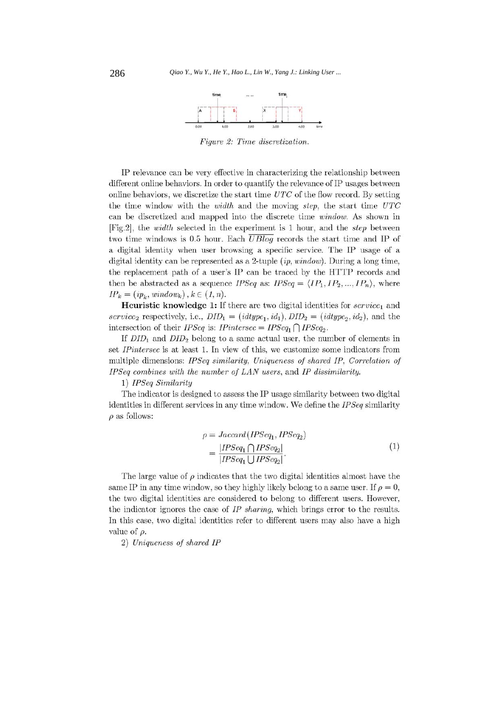

Figure 2: Time discretization.

IP relevance can be very effective in characterizing the relationship between different online behaviors. In order to quantify the relevance of IP usages between online behaviors, we discretize the start time  $UTC$  of the flow record. By setting the time window with the *width* and the moving *step*, the start time UTC can be discretized and mapped into the discrete time *window*. As shown in [Fig.2], the *width* selected in the experiment is 1 hour, and the *step* between two time windows is 0.5 hour. Each  $\overline{UBlog}$  records the start time and IP of a digital identity when user browsing a specific service. The IP usage of a digital identity can be represented as a 2-tuple  $(ip, window)$ . During a long time, the replacement path of a user's IP can be traced by the HTTP records and then be abstracted as a sequence *IPSeq* as: *IPSeq* =  $\langle IP_1, IP_2, ..., IP_n \rangle$ , where  $IP_k = (ip_k, window_k), k \in (1, n).$ 

**Heuristic knowledge 1:** If there are two digital identities for  $service<sub>1</sub>$  and service<sub>2</sub> respectively, i.e.,  $DID_1 = (idtype_1, id_1), DID_2 = (idtype_2, id_2),$  and the intersection of their *IPSeq* is: *IPintersec* =  $IPSeq_1 \cap IPSeq_2$ .

If  $DID_1$  and  $DID_2$  belong to a same actual user, the number of elements in set *IPintersec* is at least 1. In view of this, we customize some indicators from multiple dimensions: IPSeq similarity, Uniqueness of shared IP, Correlation of IPSeq combines with the number of LAN users, and IP dissimilarity.

1) IPSeq Similarity

The indicator is designed to assess the IP usage similarity between two digital identities in different services in any time window. We define the IPSeq similarity  $\rho$  as follows:

$$
\rho = Jaccard(IPSeq_1, IPSeq_2)
$$
  
= 
$$
\frac{|IPSeq_1 \cap IPSeq_2|}{|IPSeq_1 \cup IPSeq_2|}. \tag{1}
$$

The large value of  $\rho$  indicates that the two digital identities almost have the same IP in any time window, so they highly likely belong to a same user. If  $\rho = 0$ , the two digital identities are considered to belong to different users. However, the indicator ignores the case of IP sharing, which brings error to the results. In this case, two digital identities refer to different users may also have a high value of  $\rho$ .

2) Uniqueness of shared IP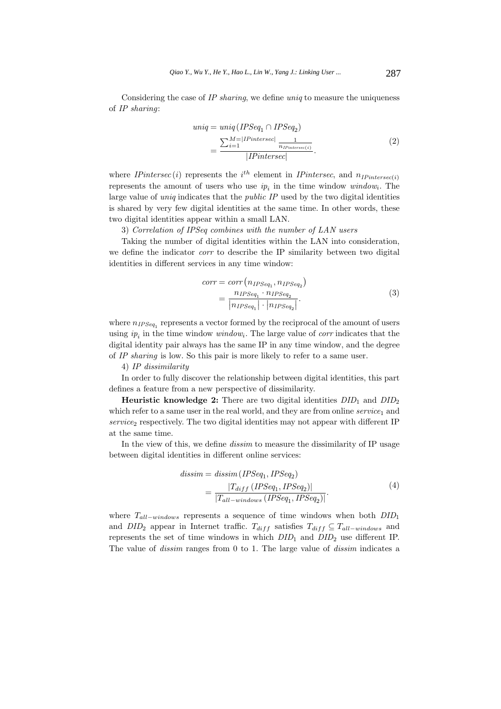Considering the case of IP sharing, we define uniq to measure the uniqueness of IP sharing:

$$
uniq = uniq (IPSeq1 \cap IPSeq2)
$$
  
= 
$$
\frac{\sum_{i=1}^{M=|I|Pintersec|} \frac{1}{n_{IPintersec(i)}}}{|IPintersec|}.
$$
 (2)

where *IPintersec*(*i*) represents the  $i^{th}$  element in *IPintersec*, and  $n_{IPintersec(i)}$ represents the amount of users who use  $ip_i$  in the time window  $window_i$ . The large value of  $\text{uniq}$  indicates that the *public IP* used by the two digital identities is shared by very few digital identities at the same time. In other words, these two digital identities appear within a small LAN.

3) Correlation of IPSeq combines with the number of LAN users

Taking the number of digital identities within the LAN into consideration, we define the indicator *corr* to describe the IP similarity between two digital identities in different services in any time window:

$$
corr = corr\left(n_{IPSeq_1}, n_{IPSeq_2}\right)
$$

$$
= \frac{n_{IPSeq_1} \cdot n_{IPSeq_2}}{|n_{IPSeq_1}| \cdot |n_{IPSeq_2}|}. \tag{3}
$$

where  $n_{IPSeq_1}$  represents a vector formed by the reciprocal of the amount of users using  $ip_i$  in the time window window<sub>i</sub>. The large value of *corr* indicates that the digital identity pair always has the same IP in any time window, and the degree of IP sharing is low. So this pair is more likely to refer to a same user.

## 4) IP dissimilarity

In order to fully discover the relationship between digital identities, this part defines a feature from a new perspective of dissimilarity.

**Heuristic knowledge 2:** There are two digital identities  $DID_1$  and  $DID_2$ which refer to a same user in the real world, and they are from online  $service<sub>1</sub>$  and  $service_2$  respectively. The two digital identities may not appear with different IP at the same time.

In the view of this, we define *dissim* to measure the dissimilarity of IP usage between digital identities in different online services:

$$
dissim = dissim (IPSeq1, IPSeq2)
$$
  
= 
$$
\frac{|T_{diff} (IPSeq1, IPSeq2)|}{|T_{all-windows} (IPSeq1, IPSeq2)|}.
$$
 (4)

where  $T_{all-windows}$  represents a sequence of time windows when both  $DID_1$ and  $DID_2$  appear in Internet traffic.  $T_{diff}$  satisfies  $T_{diff} \subseteq T_{all-windows}$  and represents the set of time windows in which  $DID_1$  and  $DID_2$  use different IP. The value of dissim ranges from 0 to 1. The large value of dissim indicates a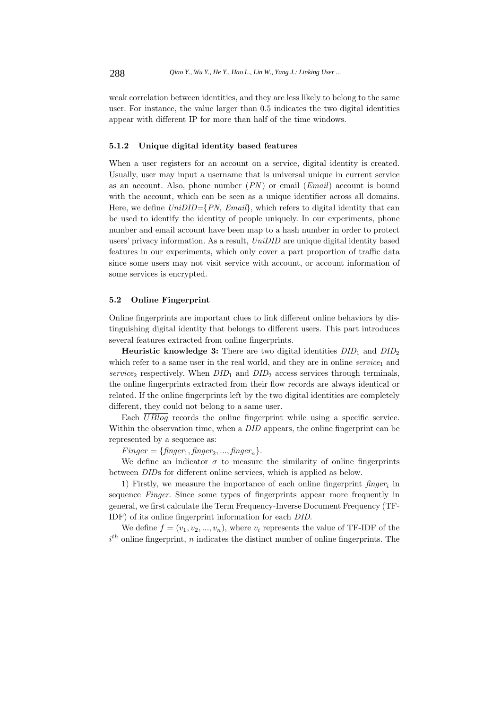weak correlation between identities, and they are less likely to belong to the same user. For instance, the value larger than 0.5 indicates the two digital identities appear with different IP for more than half of the time windows.

#### **5.1.2 Unique digital identity based features**

When a user registers for an account on a service, digital identity is created. Usually, user may input a username that is universal unique in current service as an account. Also, phone number  $(PN)$  or email  $(Email)$  account is bound with the account, which can be seen as a unique identifier across all domains. Here, we define  $UniDID=\{PN, Email\}$ , which refers to digital identity that can be used to identify the identity of people uniquely. In our experiments, phone number and email account have been map to a hash number in order to protect users' privacy information. As a result, UniDID are unique digital identity based features in our experiments, which only cover a part proportion of traffic data since some users may not visit service with account, or account information of some services is encrypted.

#### **5.2 Online Fingerprint**

Online fingerprints are important clues to link different online behaviors by distinguishing digital identity that belongs to different users. This part introduces several features extracted from online fingerprints.

**Heuristic knowledge 3:** There are two digital identities  $DID_1$  and  $DID_2$ which refer to a same user in the real world, and they are in online  $service<sub>1</sub>$  and service<sub>2</sub> respectively. When  $DID_1$  and  $DID_2$  access services through terminals, the online fingerprints extracted from their flow records are always identical or related. If the online fingerprints left by the two digital identities are completely different, they could not belong to a same user.

Each  $\overline{UBlog}$  records the online fingerprint while using a specific service. Within the observation time, when a *DID* appears, the online fingerprint can be represented by a sequence as:

 $Finger = \{finger_1, finger_2, ..., finger_n\}.$ 

We define an indicator  $\sigma$  to measure the similarity of online fingerprints between DIDs for different online services, which is applied as below.

1) Firstly, we measure the importance of each online fingerprint  $f\in S$  in sequence Finger. Since some types of fingerprints appear more frequently in general, we first calculate the Term Frequency-Inverse Document Frequency (TF-IDF) of its online fingerprint information for each DID.

We define  $f = (v_1, v_2, ..., v_n)$ , where  $v_i$  represents the value of TF-IDF of the  $i<sup>th</sup>$  online fingerprint, n indicates the distinct number of online fingerprints. The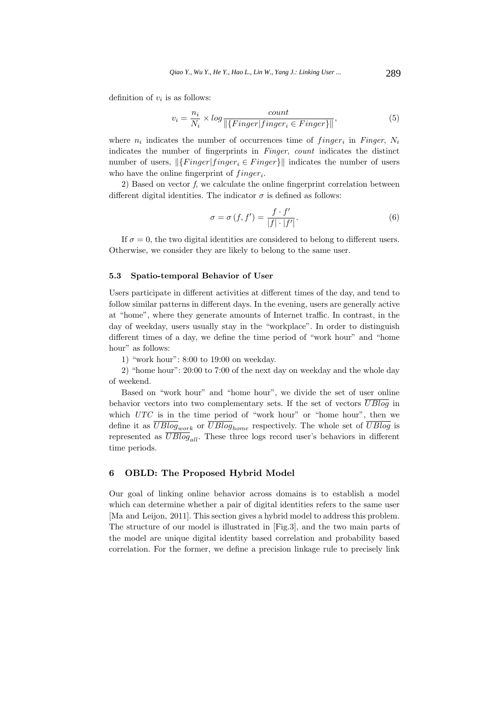definition of  $v_i$  is as follows:

$$
v_i = \frac{n_i}{N_i} \times \log \frac{count}{\|\{Finger|finger_i \in Finger\}\|},\tag{5}
$$

where  $n_i$  indicates the number of occurrences time of *finger*<sub>i</sub> in *Finger*,  $N_i$ indicates the number of fingerprints in Finger, count indicates the distinct number of users,  $\left\| \left\{ \text{Finger} | \text{finger}_i \in \text{Finger} \right\} \right\|$  indicates the number of users who have the online fingerprint of  $finger_i$ .

2) Based on vector f, we calculate the online fingerprint correlation between different digital identities. The indicator  $\sigma$  is defined as follows:

$$
\sigma = \sigma(f, f') = \frac{f \cdot f'}{|f| \cdot |f'|}. \tag{6}
$$

If  $\sigma = 0$ , the two digital identities are considered to belong to different users. Otherwise, we consider they are likely to belong to the same user.

#### **5.3 Spatio-temporal Behavior of User**

Users participate in different activities at different times of the day, and tend to follow similar patterns in different days. In the evening, users are generally active at "home", where they generate amounts of Internet traffic. In contrast, in the day of weekday, users usually stay in the "workplace". In order to distinguish different times of a day, we define the time period of "work hour" and "home hour" as follows:

1) "work hour": 8:00 to 19:00 on weekday.

2) "home hour": 20:00 to 7:00 of the next day on weekday and the whole day of weekend.

Based on "work hour" and "home hour", we divide the set of user online behavior vectors into two complementary sets. If the set of vectors  $\overline{UBlog}$  in which  $UTC$  is in the time period of "work hour" or "home hour", then we define it as  $\overline{UBlog}_{work}$  or  $\overline{UBlog}_{home}$  respectively. The whole set of  $\overline{UBlog}$  is represented as  $\overline{UBlog}_{all}$ . These three logs record user's behaviors in different time periods.

# **6 OBLD: The Proposed Hybrid Model**

Our goal of linking online behavior across domains is to establish a model which can determine whether a pair of digital identities refers to the same user [Ma and Leijon, 2011]. This section gives a hybrid model to address this problem. The structure of our model is illustrated in [Fig.3], and the two main parts of the model are unique digital identity based correlation and probability based correlation. For the former, we define a precision linkage rule to precisely link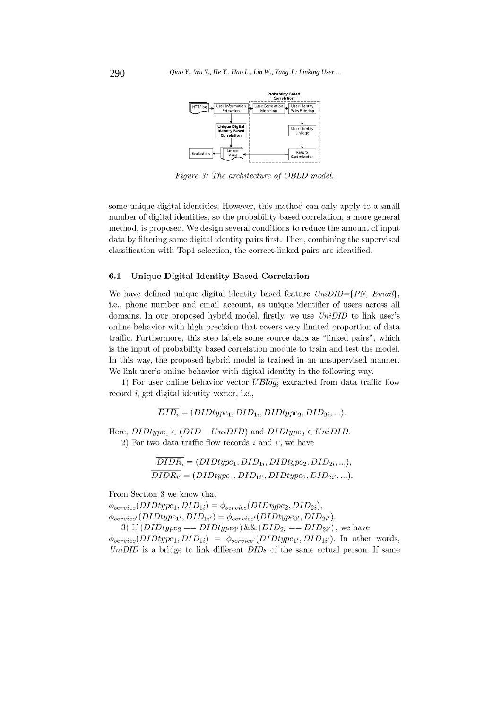

Figure 3: The architecture of OBLD model.

some unique digital identities. However, this method can only apply to a small number of digital identities, so the probability based correlation, a more general method, is proposed. We design several conditions to reduce the amount of input data by filtering some digital identity pairs first. Then, combining the supervised classification with Top1 selection, the correct-linked pairs are identified.

#### $6.1$ Unique Digital Identity Based Correlation

We have defined unique digital identity based feature  $UniDID = \{PN, Email\}$ , i.e., phone number and email account, as unique identifier of users across all domains. In our proposed hybrid model, firstly, we use UniDID to link user's online behavior with high precision that covers very limited proportion of data traffic. Furthermore, this step labels some source data as "linked pairs", which is the input of probability based correlation module to train and test the model. In this way, the proposed hybrid model is trained in an unsupervised manner. We link user's online behavior with digital identity in the following way.

1) For user online behavior vector  $\overline{UBlog_i}$  extracted from data traffic flow record  $i$ , get digital identity vector, i.e.,

 $\overline{DID_i} = (DIDtype_1, DID_{1i}, DIDtype_2, DID_{2i}, ...)$ .

Here,  $DIDtype_1 \in (DID - UniDID)$  and  $DIDtype_2 \in UniDID$ . 2) For two data traffic flow records  $i$  and  $i'$ , we have

> $\overline{DIDR_i} = (DIDtype_1, DID_{1i}, DIDtype_2, DID_{2i}, ...),$  $\overline{DIDR_{i'}} = (DIDtype_1, DID_{1i'}, DIDtype_2, DID_{2i'}, ...).$

From Section 3 we know that

 $\phi_{service}(DIDtype_1, DID_{1i}) = \phi_{service}(DIDtype_2, DID_{2i}),$  $\phi_{service'}(DIDtype_{1'},DID_{1i'}) = \phi_{service'}(DIDtype_{2'},DID_{2i'}).$ 

3) If  $(DIDtype_2 == DIDtype_{2'}) \& (DID_{2i} == DID_{2i'})$ , we have  $\phi_{service}(DIDtype_1, DID_{1i}) = \phi_{service'}(DIDtype_{1'}, DID_{1i'}).$  In other words,  $UniDID$  is a bridge to link different  $DIDs$  of the same actual person. If same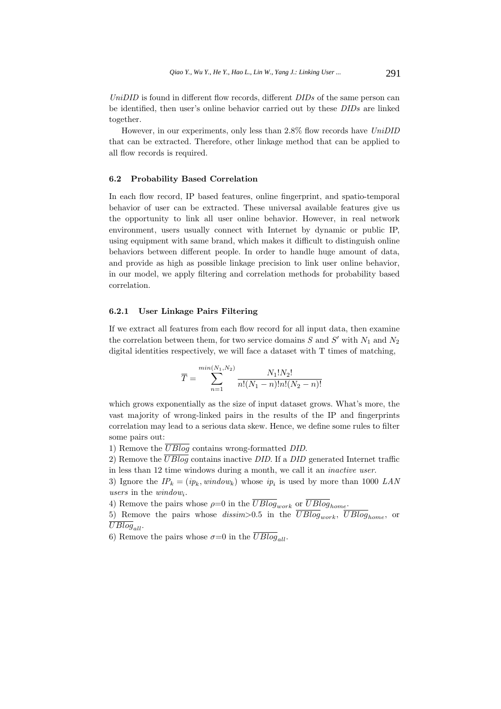UniDID is found in different flow records, different  $DIDs$  of the same person can be identified, then user's online behavior carried out by these DIDs are linked together.

However, in our experiments, only less than 2.8% flow records have UniDID that can be extracted. Therefore, other linkage method that can be applied to all flow records is required.

#### **6.2 Probability Based Correlation**

In each flow record, IP based features, online fingerprint, and spatio-temporal behavior of user can be extracted. These universal available features give us the opportunity to link all user online behavior. However, in real network environment, users usually connect with Internet by dynamic or public IP, using equipment with same brand, which makes it difficult to distinguish online behaviors between different people. In order to handle huge amount of data, and provide as high as possible linkage precision to link user online behavior, in our model, we apply filtering and correlation methods for probability based correlation.

#### **6.2.1 User Linkage Pairs Filtering**

If we extract all features from each flow record for all input data, then examine the correlation between them, for two service domains  $S$  and  $S'$  with  $N_1$  and  $N_2$ digital identities respectively, we will face a dataset with T times of matching,

$$
\overline{T} = \sum_{n=1}^{\min(N_1, N_2)} \frac{N_1! N_2!}{n! (N_1 - n)! n! (N_2 - n)!}
$$

which grows exponentially as the size of input dataset grows. What's more, the vast majority of wrong-linked pairs in the results of the IP and fingerprints correlation may lead to a serious data skew. Hence, we define some rules to filter some pairs out:

1) Remove the  $\overline{UBlog}$  contains wrong-formatted DID.

2) Remove the  $\overline{UBlog}$  contains inactive DID. If a DID generated Internet traffic in less than 12 time windows during a month, we call it an inactive user.

3) Ignore the  $IP_k = (ip_k, window_k)$  whose  $ip_i$  is used by more than 1000 LAN users in the  $window_i$ .

4) Remove the pairs whose  $\rho=0$  in the  $\overline{UBlog}_{work}$  or  $\overline{UBlog}_{home}$ .

5) Remove the pairs whose dissim-0.5 in the  $\overline{UBlog}_{work}$ ,  $\overline{UBlog}_{home}$ , or  $UBlog_{all}$ .

6) Remove the pairs whose  $\sigma=0$  in the  $\overline{UBlog}_{all}$ .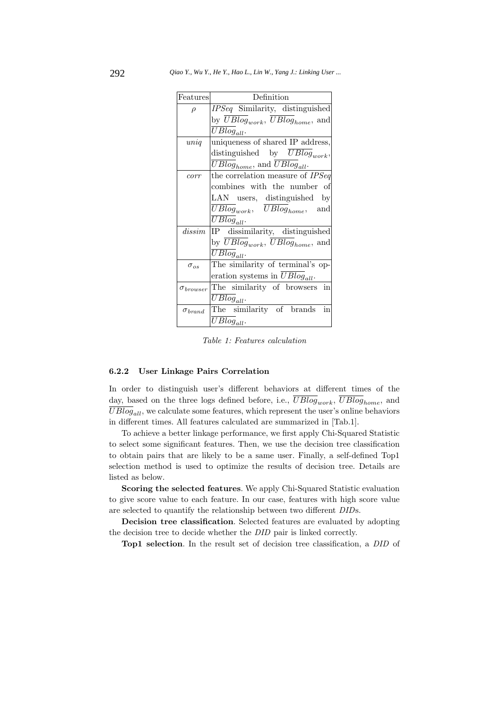| Features           | Definition                                                         |
|--------------------|--------------------------------------------------------------------|
| $\rho$             | IPSeq Similarity, distinguished                                    |
|                    | by $\overline{UBlog}_{work}, \overline{UBlog}_{home}, \text{ and}$ |
|                    | $UBlog_{all}$ .                                                    |
| $\left  \right $   | uniqueness of shared IP address,                                   |
|                    | distinguished by $UBlog_{work}$ ,                                  |
|                    | $\overline{UBlog}_{home}$ , and $\overline{UBlog}_{all}$ .         |
| corr               | the correlation measure of IPSeq                                   |
|                    | combines with the number of                                        |
|                    | LAN users, distinguished by                                        |
|                    | $UBlog_{work}, \quad \overline{UBlog}_{home},$<br>and              |
|                    | $\overline{UB}$ log <sub>all</sub> .                               |
| dissim             | IP dissimilarity, distinguished                                    |
|                    | by $\overline{UBlog}_{work}$ , $UBlog_{home}$ , and                |
|                    | $\overline{U}Blog_{all}$ .                                         |
| $\sigma_{os}$      | The similarity of terminal's op-                                   |
|                    | eration systems in $UBlog_{all}$ .                                 |
| $\sigma_{brouser}$ | in<br>The similarity of browsers                                   |
|                    | $UBlog_{all}$ .                                                    |
| $\sigma_{brand}$   | The similarity of brands<br>in                                     |
|                    | $UBlog_{all}$ .                                                    |

Table 1: Features calculation

#### **6.2.2 User Linkage Pairs Correlation**

In order to distinguish user's different behaviors at different times of the day, based on the three logs defined before, i.e.,  $\overline{UBlog}_{work}, \overline{UBlog}_{home}$ , and  $\overline{UBlog}_{all}$ , we calculate some features, which represent the user's online behaviors in different times. All features calculated are summarized in [Tab.1].

To achieve a better linkage performance, we first apply Chi-Squared Statistic to select some significant features. Then, we use the decision tree classification to obtain pairs that are likely to be a same user. Finally, a self-defined Top1 selection method is used to optimize the results of decision tree. Details are listed as below.

**Scoring the selected features**. We apply Chi-Squared Statistic evaluation to give score value to each feature. In our case, features with high score value are selected to quantify the relationship between two different DIDs.

**Decision tree classification**. Selected features are evaluated by adopting the decision tree to decide whether the DID pair is linked correctly.

**Top1 selection**. In the result set of decision tree classification, a DID of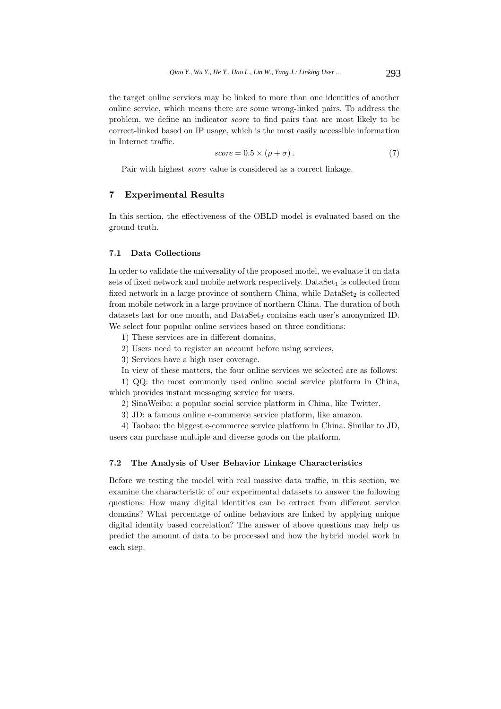the target online services may be linked to more than one identities of another online service, which means there are some wrong-linked pairs. To address the problem, we define an indicator score to find pairs that are most likely to be correct-linked based on IP usage, which is the most easily accessible information in Internet traffic.

$$
score = 0.5 \times (\rho + \sigma). \tag{7}
$$

Pair with highest score value is considered as a correct linkage.

# **7 Experimental Results**

In this section, the effectiveness of the OBLD model is evaluated based on the ground truth.

# **7.1 Data Collections**

In order to validate the universality of the proposed model, we evaluate it on data sets of fixed network and mobile network respectively.  $\text{DataSet}_1$  is collected from fixed network in a large province of southern China, while  $\text{DataSet}_2$  is collected from mobile network in a large province of northern China. The duration of both datasets last for one month, and  $DataSet_2$  contains each user's anonymized ID. We select four popular online services based on three conditions:

1) These services are in different domains,

2) Users need to register an account before using services,

3) Services have a high user coverage.

In view of these matters, the four online services we selected are as follows:

1) QQ: the most commonly used online social service platform in China, which provides instant messaging service for users.

2) SinaWeibo: a popular social service platform in China, like Twitter.

3) JD: a famous online e-commerce service platform, like amazon.

4) Taobao: the biggest e-commerce service platform in China. Similar to JD, users can purchase multiple and diverse goods on the platform.

## **7.2 The Analysis of User Behavior Linkage Characteristics**

Before we testing the model with real massive data traffic, in this section, we examine the characteristic of our experimental datasets to answer the following questions: How many digital identities can be extract from different service domains? What percentage of online behaviors are linked by applying unique digital identity based correlation? The answer of above questions may help us predict the amount of data to be processed and how the hybrid model work in each step.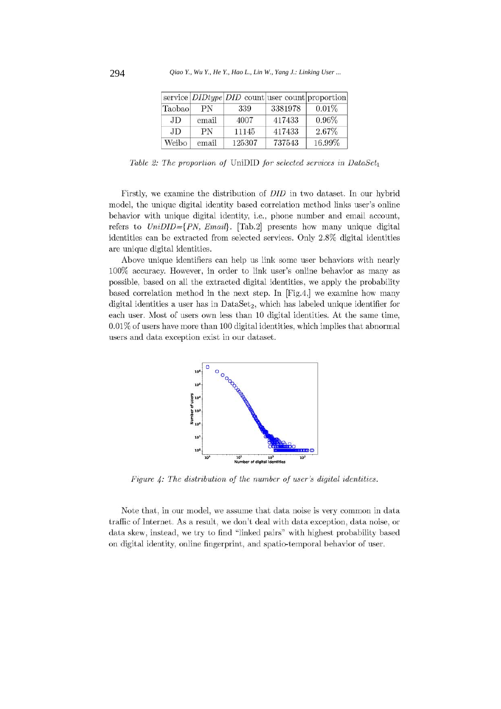|        |       | service <i>DIDtype DID</i> count user count proportion |         |        |
|--------|-------|--------------------------------------------------------|---------|--------|
| Taobao | PN    | 339                                                    | 3381978 | 0.01%  |
| JD.    | email | 4007                                                   | 417433  | 0.96%  |
| JD.    | PN    | 11145                                                  | 417433  | 2.67%  |
| Weibo  | email | 125307                                                 | 737543  | 16.99% |

Table 2: The proportion of UniDID for selected services in DataSet<sub>1</sub>

Firstly, we examine the distribution of *DID* in two dataset. In our hybrid model, the unique digital identity based correlation method links user's online behavior with unique digital identity, i.e., phone number and email account, refers to  $UniDID = \{PN, Email\}$ . [Tab.2] presents how many unique digital identities can be extracted from selected services. Only 2.8% digital identities are unique digital identities.

Above unique identifiers can help us link some user behaviors with nearly 100% accuracy. However, in order to link user's online behavior as many as possible, based on all the extracted digital identities, we apply the probability based correlation method in the next step. In [Fig.4,] we examine how many digital identities a user has in  $DataSet_2$ , which has labeled unique identifier for each user. Most of users own less than 10 digital identities. At the same time,  $0.01\%$  of users have more than 100 digital identities, which implies that abnormal users and data exception exist in our dataset.



Figure 4: The distribution of the number of user's digital identities.

Note that, in our model, we assume that data noise is very common in data traffic of Internet. As a result, we don't deal with data exception, data noise, or data skew, instead, we try to find "linked pairs" with highest probability based on digital identity, online fingerprint, and spatio-temporal behavior of user.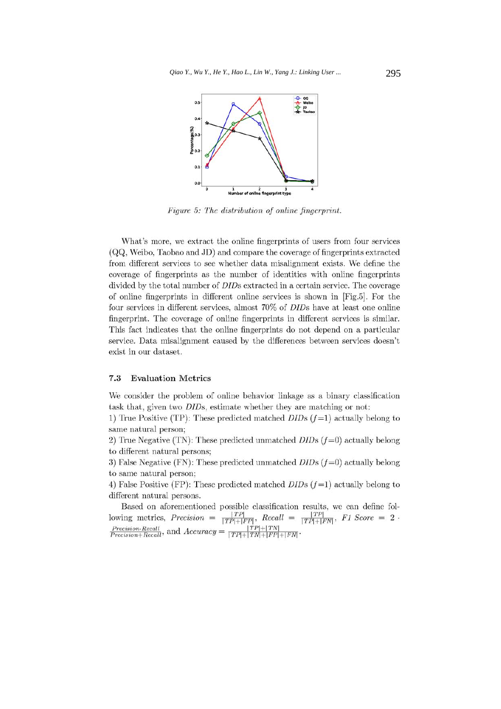

Figure 5: The distribution of online fingerprint.

What's more, we extract the online fingerprints of users from four services (QQ, Weibo, Taobao and JD) and compare the coverage of fingerprints extracted from different services to see whether data misalignment exists. We define the coverage of fingerprints as the number of identities with online fingerprints divided by the total number of *DID*s extracted in a certain service. The coverage of online fingerprints in different online services is shown in [Fig.5]. For the four services in different services, almost 70% of *DID*s have at least one online fingerprint. The coverage of online fingerprints in different services is similar. This fact indicates that the online fingerprints do not depend on a particular service. Data misalignment caused by the differences between services doesn't exist in our dataset.

#### 7.3 **Evaluation Metrics**

We consider the problem of online behavior linkage as a binary classification task that, given two DIDs, estimate whether they are matching or not:

1) True Positive (TP): These predicted matched  $D\bar{D}s$  ( $f=1$ ) actually belong to same natural person;

2) True Negative (TN): These predicted unmatched  $D\bar{ID}$ s ( $f=0$ ) actually belong to different natural persons:

3) False Negative (FN): These predicted unmatched  $D\bar{D}s$  ( $f=0$ ) actually belong to same natural person;

4) False Positive (FP): These predicted matched  $DIDs$  ( $f=1$ ) actually belong to different natural persons.

Based on aforementioned possible classification results, we can define following metrics, Precision =  $\frac{|TP|}{|TP|+|FP|}$ , Recall =  $\frac{|TP|}{|TP|+|FN|}$ , F1 Score = 2.  $\frac{Precision\cdot Recall}{Precision+Recall}$ , and  $Accuracy = \frac{|TP|+|TN|}{|TP|+|TN|+|FP|+|FN|}$ .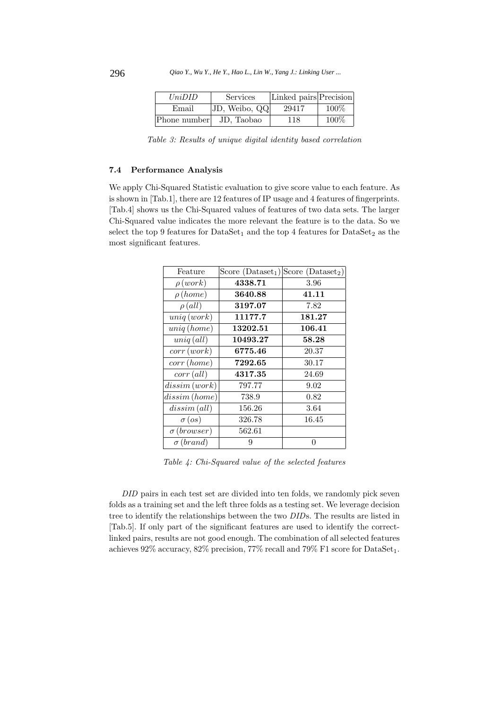| UniDID       | <b>Services</b> | Linked pairs Precision |      |
|--------------|-----------------|------------------------|------|
| Email        | JD, Weibo, QQ   | 29417                  | 100% |
| Phone number | JD. Taobao      | 118                    | 100% |

Table 3: Results of unique digital identity based correlation

## **7.4 Performance Analysis**

We apply Chi-Squared Statistic evaluation to give score value to each feature. As is shown in [Tab.1], there are 12 features of IP usage and 4 features of fingerprints. [Tab.4] shows us the Chi-Squared values of features of two data sets. The larger Chi-Squared value indicates the more relevant the feature is to the data. So we select the top 9 features for  $\text{DataSet}_1$  and the top 4 features for  $\text{DataSet}_2$  as the most significant features.

| Feature                    |          | Score (Dataset <sub>1</sub> ) Score (Dataset <sub>2</sub> ) |
|----------------------------|----------|-------------------------------------------------------------|
| $\rho (work)$              | 4338.71  | 3.96                                                        |
| $\rho$ (home)              | 3640.88  | 41.11                                                       |
| $\rho (all)$               | 3197.07  | 7.82                                                        |
| uniq (work)                | 11177.7  | 181.27                                                      |
| uniq(home)                 | 13202.51 | 106.41                                                      |
| $uniq$ $\left( all\right)$ | 10493.27 | 58.28                                                       |
| corr(work)                 | 6775.46  | 20.37                                                       |
| corr(home)                 | 7292.65  | 30.17                                                       |
| corr (all)                 | 4317.35  | 24.69                                                       |
| dissim(work)               | 797.77   | 9.02                                                        |
|                            | 738.9    | 0.82                                                        |
| dissim (all)               | 156.26   | 3.64                                                        |
| $\sigma (os)$              | 326.78   | 16.45                                                       |
| $\sigma$ (browser)         | 562.61   |                                                             |
| $\sigma$ (brand)           | 9        | 0                                                           |
|                            |          | dissim(home)                                                |

Table 4: Chi-Squared value of the selected features

DID pairs in each test set are divided into ten folds, we randomly pick seven folds as a training set and the left three folds as a testing set. We leverage decision tree to identify the relationships between the two DIDs. The results are listed in [Tab.5]. If only part of the significant features are used to identify the correctlinked pairs, results are not good enough. The combination of all selected features achieves  $92\%$  accuracy,  $82\%$  precision,  $77\%$  recall and  $79\%$  F1 score for DataSet<sub>1</sub>.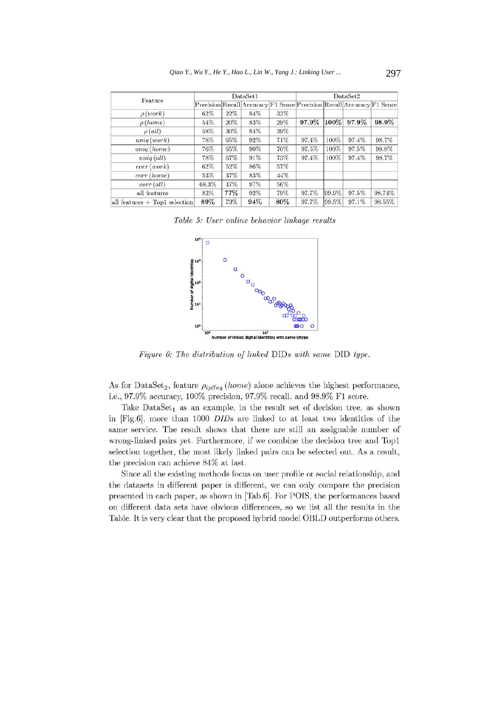|                                 | DataSet1 |     |                                                                       | DataSet2 |       |       |       |        |
|---------------------------------|----------|-----|-----------------------------------------------------------------------|----------|-------|-------|-------|--------|
| Feature                         |          |     | Precision Recall Accuracy F1 Score Precision Recall Accuracy F1 Score |          |       |       |       |        |
| $\rho(work)$                    | 62%      | 22% | 84%                                                                   | 32%      |       |       |       |        |
| $\rho$ (home)                   | 54%      | 20% | 83%                                                                   | 29%      | 97.9% | 100%  | 97.9% | 98.9%  |
| $\rho$ (all)                    | 58%      | 30% | 84%                                                                   | 39%      |       |       |       |        |
| uniq(work)                      | 78%      | 65% | 92%                                                                   | 71%      | 97.4% | 100%  | 97.4% | 98.7%  |
| uniq(home)                      | 76%      | 65% | 90%                                                                   | 70%      | 97.5% | 100%  | 97.5% | 98.8%  |
| $uniq$ (all)                    | 78%      | 67% | 91%                                                                   | 73%      | 97.4% | 100%  | 97.4% | 98.7%  |
| corr(work)                      | 62%      | 52% | 86%                                                                   | 57%      |       |       |       |        |
| corr (home)                     | 53%      | 37% | 83%                                                                   | 44%      |       |       |       |        |
| $corr$ (all)                    | 68.3%    | 47% | 87%                                                                   | 56%      |       |       |       |        |
| all features                    | 82%      | 77% | 92%                                                                   | 79%      | 97.7% | 99.9% | 97.5% | 98.74% |
| all features $+$ Top1 selection | 89%      | 73% | 94%                                                                   | 80%      | 97.7% | 99.5% | 97.1% | 98,55% |

Table 5: User online behavior linkage results



Figure 6: The distribution of linked DIDs with same DID type.

As for DataSet<sub>2</sub>, feature  $\rho_{ipSeq}$  (home) alone achieves the highest performance, i.e., 97.9% accuracy, 100% precision, 97.9% recall, and 98.9% F1 score.

Take Data $Set_1$  as an example, in the result set of decision tree, as shown in [Fig.6], more than 1000 DIDs are linked to at least two identities of the same service. The result shows that there are still an assignable number of wrong-linked pairs yet. Furthermore, if we combine the decision tree and Top1 selection together, the most likely linked pairs can be selected out. As a result, the precision can achieve 84\% at last.

Since all the existing methods focus on user profile or social relationship, and the datasets in different paper is different, we can only compare the precision presented in each paper, as shown in [Tab.6]. For POIS, the performances based on different data sets have obvious differences, so we list all the results in the Table. It is very clear that the proposed hybrid model OBLD outperforms others.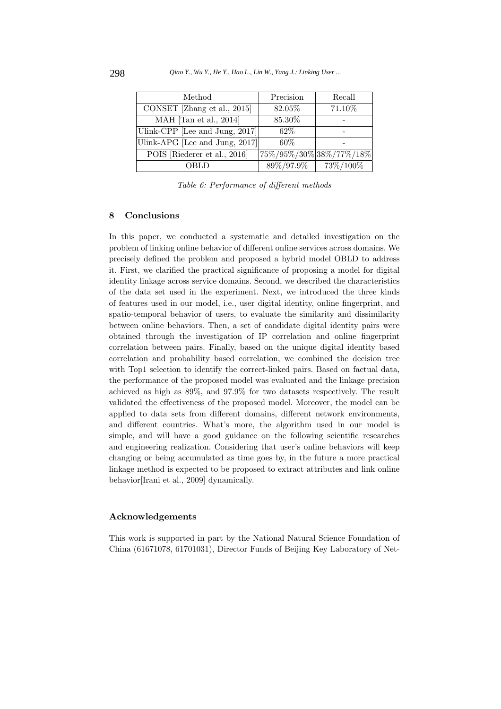| Method                         | Precision                                 | Recall               |
|--------------------------------|-------------------------------------------|----------------------|
| CONSET [Zhang et al., 2015]    | 82.05%                                    | 71.10%               |
| MAH [Tan et al., 2014]         | 85.30%                                    |                      |
| Ulink-CPP [Lee and Jung, 2017] | $62\%$                                    |                      |
| Ulink-APG [Lee and Jung, 2017] | 60%                                       |                      |
| POIS [Riederer et al., 2016]   | $ 75\% / 95\% / 30\%  38\% / 77\% / 18\%$ |                      |
| OBLD                           | $89\%/97.9\%$                             | $\frac{73\%}{100\%}$ |

Table 6: Performance of different methods

# **8 Conclusions**

In this paper, we conducted a systematic and detailed investigation on the problem of linking online behavior of different online services across domains. We precisely defined the problem and proposed a hybrid model OBLD to address it. First, we clarified the practical significance of proposing a model for digital identity linkage across service domains. Second, we described the characteristics of the data set used in the experiment. Next, we introduced the three kinds of features used in our model, i.e., user digital identity, online fingerprint, and spatio-temporal behavior of users, to evaluate the similarity and dissimilarity between online behaviors. Then, a set of candidate digital identity pairs were obtained through the investigation of IP correlation and online fingerprint correlation between pairs. Finally, based on the unique digital identity based correlation and probability based correlation, we combined the decision tree with Top1 selection to identify the correct-linked pairs. Based on factual data, the performance of the proposed model was evaluated and the linkage precision achieved as high as 89%, and 97.9% for two datasets respectively. The result validated the effectiveness of the proposed model. Moreover, the model can be applied to data sets from different domains, different network environments, and different countries. What's more, the algorithm used in our model is simple, and will have a good guidance on the following scientific researches and engineering realization. Considering that user's online behaviors will keep changing or being accumulated as time goes by, in the future a more practical linkage method is expected to be proposed to extract attributes and link online behavior[Irani et al., 2009] dynamically.

#### **Acknowledgements**

This work is supported in part by the National Natural Science Foundation of China (61671078, 61701031), Director Funds of Beijing Key Laboratory of Net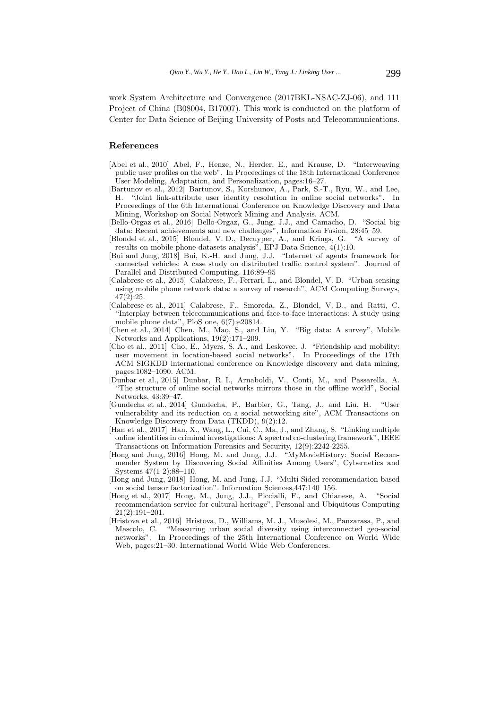work System Architecture and Convergence (2017BKL-NSAC-ZJ-06), and 111 Project of China (B08004, B17007). This work is conducted on the platform of Center for Data Science of Beijing University of Posts and Telecommunications.

## **References**

- [Abel et al., 2010] Abel, F., Henze, N., Herder, E., and Krause, D. "Interweaving public user profiles on the web", In Proceedings of the 18th International Conference User Modeling, Adaptation, and Personalization, pages:16–27.
- [Bartunov et al., 2012] Bartunov, S., Korshunov, A., Park, S.-T., Ryu, W., and Lee, H. "Joint link-attribute user identity resolution in online social networks". In Proceedings of the 6th International Conference on Knowledge Discovery and Data Mining, Workshop on Social Network Mining and Analysis. ACM.
- [Bello-Orgaz et al., 2016] Bello-Orgaz, G., Jung, J.J., and Camacho, D. "Social big data: Recent achievements and new challenges", Information Fusion, 28:45–59.
- [Blondel et al., 2015] Blondel, V. D., Decuyper, A., and Krings, G. "A survey of results on mobile phone datasets analysis", EPJ Data Science, 4(1):10.
- [Bui and Jung, 2018] Bui, K.-H. and Jung, J.J. "Internet of agents framework for connected vehicles: A case study on distributed traffic control system". Journal of Parallel and Distributed Computing, 116:89–95
- [Calabrese et al., 2015] Calabrese, F., Ferrari, L., and Blondel, V. D. "Urban sensing using mobile phone network data: a survey of research", ACM Computing Surveys, 47(2):25.
- [Calabrese et al., 2011] Calabrese, F., Smoreda, Z., Blondel, V. D., and Ratti, C. "Interplay between telecommunications and face-to-face interactions: A study using mobile phone data", PloS one, 6(7):e20814.
- [Chen et al., 2014] Chen, M., Mao, S., and Liu, Y. "Big data: A survey", Mobile Networks and Applications, 19(2):171–209.
- [Cho et al., 2011] Cho, E., Myers, S. A., and Leskovec, J. "Friendship and mobility: user movement in location-based social networks". In Proceedings of the 17th ACM SIGKDD international conference on Knowledge discovery and data mining, pages:1082–1090. ACM.
- [Dunbar et al., 2015] Dunbar, R. I., Arnaboldi, V., Conti, M., and Passarella, A. "The structure of online social networks mirrors those in the offline world", Social Networks, 43:39–47.
- [Gundecha et al., 2014] Gundecha, P., Barbier, G., Tang, J., and Liu, H. "User vulnerability and its reduction on a social networking site", ACM Transactions on Knowledge Discovery from Data (TKDD), 9(2):12.
- [Han et al., 2017] Han, X., Wang, L., Cui, C., Ma, J., and Zhang, S. "Linking multiple online identities in criminal investigations: A spectral co-clustering framework", IEEE Transactions on Information Forensics and Security, 12(9):2242-2255.
- [Hong and Jung, 2016] Hong, M. and Jung, J.J. "MyMovieHistory: Social Recommender System by Discovering Social Affinities Among Users", Cybernetics and Systems 47(1-2):88–110.
- [Hong and Jung, 2018] Hong, M. and Jung, J.J. "Multi-Sided recommendation based on social tensor factorization". Information Sciences,447:140–156.
- [Hong et al., 2017] Hong, M., Jung, J.J., Piccialli, F., and Chianese, A. "Social recommendation service for cultural heritage", Personal and Ubiquitous Computing 21(2):191–201.
- [Hristova et al., 2016] Hristova, D., Williams, M. J., Musolesi, M., Panzarasa, P., and Mascolo, C. "Measuring urban social diversity using interconnected geo-social networks". In Proceedings of the 25th International Conference on World Wide Web, pages:21–30. International World Wide Web Conferences.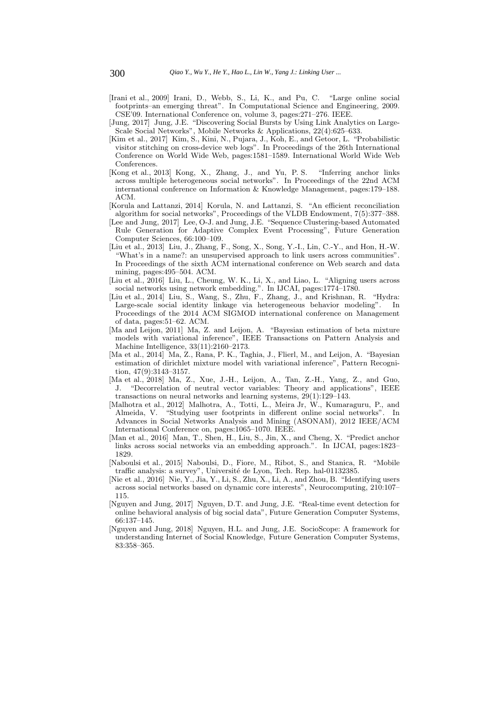- [Irani et al., 2009] Irani, D., Webb, S., Li, K., and Pu, C. "Large online social footprints–an emerging threat". In Computational Science and Engineering, 2009. CSE'09. International Conference on, volume 3, pages:271–276. IEEE.
- [Jung, 2017] Jung, J.E. "Discovering Social Bursts by Using Link Analytics on Large-Scale Social Networks", Mobile Networks & Applications, 22(4):625–633.
- [Kim et al., 2017] Kim, S., Kini, N., Pujara, J., Koh, E., and Getoor, L. "Probabilistic visitor stitching on cross-device web logs". In Proceedings of the 26th International Conference on World Wide Web, pages:1581–1589. International World Wide Web Conferences.
- [Kong et al., 2013] Kong, X., Zhang, J., and Yu, P. S. "Inferring anchor links across multiple heterogeneous social networks". In Proceedings of the 22nd ACM international conference on Information & Knowledge Management, pages:179–188. ACM.
- [Korula and Lattanzi, 2014] Korula, N. and Lattanzi, S. "An efficient reconciliation algorithm for social networks", Proceedings of the VLDB Endowment, 7(5):377–388.
- [Lee and Jung, 2017] Lee, O-J. and Jung, J.E. "Sequence Clustering-based Automated Rule Generation for Adaptive Complex Event Processing", Future Generation Computer Sciences, 66:100–109.
- [Liu et al., 2013] Liu, J., Zhang, F., Song, X., Song, Y.-I., Lin, C.-Y., and Hon, H.-W. "What's in a name?: an unsupervised approach to link users across communities". In Proceedings of the sixth ACM international conference on Web search and data mining, pages:495–504. ACM.
- [Liu et al., 2016] Liu, L., Cheung, W. K., Li, X., and Liao, L. "Aligning users across social networks using network embedding.". In IJCAI, pages:1774–1780.
- [Liu et al., 2014] Liu, S., Wang, S., Zhu, F., Zhang, J., and Krishnan, R. "Hydra: Large-scale social identity linkage via heterogeneous behavior modeling". In Proceedings of the 2014 ACM SIGMOD international conference on Management of data, pages:51–62. ACM.
- [Ma and Leijon, 2011] Ma, Z. and Leijon, A. "Bayesian estimation of beta mixture models with variational inference", IEEE Transactions on Pattern Analysis and Machine Intelligence, 33(11):2160–2173.
- [Ma et al., 2014] Ma, Z., Rana, P. K., Taghia, J., Flierl, M., and Leijon, A. "Bayesian estimation of dirichlet mixture model with variational inference", Pattern Recognition, 47(9):3143–3157.
- [Ma et al., 2018] Ma, Z., Xue, J.-H., Leijon, A., Tan, Z.-H., Yang, Z., and Guo, J. "Decorrelation of neutral vector variables: Theory and applications", IEEE transactions on neural networks and learning systems, 29(1):129–143.
- [Malhotra et al., 2012] Malhotra, A., Totti, L., Meira Jr, W., Kumaraguru, P., and Almeida, V. "Studying user footprints in different online social networks". In Advances in Social Networks Analysis and Mining (ASONAM), 2012 IEEE/ACM International Conference on, pages:1065–1070. IEEE.
- [Man et al., 2016] Man, T., Shen, H., Liu, S., Jin, X., and Cheng, X. "Predict anchor links across social networks via an embedding approach.". In IJCAI, pages:1823– 1829.
- [Naboulsi et al., 2015] Naboulsi, D., Fiore, M., Ribot, S., and Stanica, R. "Mobile traffic analysis: a survey", Université de Lyon, Tech. Rep. hal-01132385.
- [Nie et al., 2016] Nie, Y., Jia, Y., Li, S., Zhu, X., Li, A., and Zhou, B. "Identifying users across social networks based on dynamic core interests", Neurocomputing, 210:107– 115.
- [Nguyen and Jung, 2017] Nguyen, D.T. and Jung, J.E. "Real-time event detection for online behavioral analysis of big social data", Future Generation Computer Systems, 66:137–145.
- [Nguyen and Jung, 2018] Nguyen, H.L. and Jung, J.E. SocioScope: A framework for understanding Internet of Social Knowledge, Future Generation Computer Systems, 83:358–365.